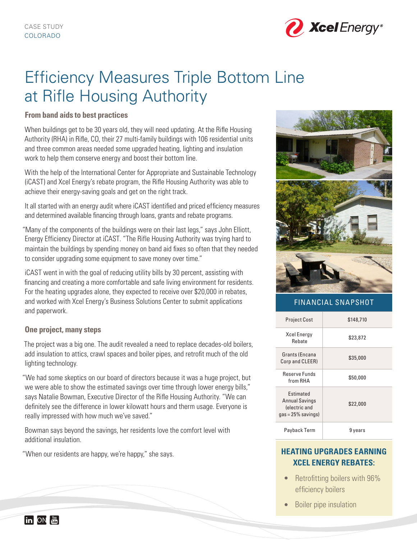

# Efficiency Measures Triple Bottom Line at Rifle Housing Authority

# **From band aids to best practices**

When buildings get to be 30 years old, they will need updating. At the Rifle Housing Authority (RHA) in Rifle, CO, their 27 multi-family buildings with 106 residential units and three common areas needed some upgraded heating, lighting and insulation work to help them conserve energy and boost their bottom line.

With the help of the International Center for Appropriate and Sustainable Technology (iCAST) and Xcel Energy's rebate program, the Rifle Housing Authority was able to achieve their energy-saving goals and get on the right track.

It all started with an energy audit where iCAST identified and priced efficiency measures and determined available financing through loans, grants and rebate programs.

"Many of the components of the buildings were on their last legs," says John Elliott, Energy Efficiency Director at iCAST. "The Rifle Housing Authority was trying hard to maintain the buildings by spending money on band aid fixes so often that they needed to consider upgrading some equipment to save money over time."

iCAST went in with the goal of reducing utility bills by 30 percent, assisting with financing and creating a more comfortable and safe living environment for residents. For the heating upgrades alone, they expected to receive over \$20,000 in rebates, and worked with Xcel Energy's Business Solutions Center to submit applications and paperwork.

## **One project, many steps**

The project was a big one. The audit revealed a need to replace decades-old boilers, add insulation to attics, crawl spaces and boiler pipes, and retrofit much of the old lighting technology.

"We had some skeptics on our board of directors because it was a huge project, but we were able to show the estimated savings over time through lower energy bills," says Natalie Bowman, Executive Director of the Rifle Housing Authority. "We can definitely see the difference in lower kilowatt hours and therm usage. Everyone is really impressed with how much we've saved."

Bowman says beyond the savings, her residents love the comfort level with additional insulation.

"When our residents are happy, we're happy," she says.



# FINANCIAL SNAPSHOT

| <b>Project Cost</b>                                                                 | \$148,710 |
|-------------------------------------------------------------------------------------|-----------|
| <b>Xcel Energy</b><br>Rehate                                                        | \$23,872  |
| Grants (Encana<br>Corp and CLEER)                                                   | \$35,000  |
| <b>Reserve Funds</b><br>from RHA                                                    | \$50,000  |
| <b>Fstimated</b><br><b>Annual Savings</b><br>(electric and<br>$gas = 25\%$ savings) | \$22,000  |
| Payback Term                                                                        | 9 years   |

# **HEATING UPGRADES EARNING XCEL ENERGY REBATES:**

- Retrofitting boilers with 96% efficiency boilers
- Boiler pipe insulation

 $\left[\text{in}\right]$  ON  $\left[\frac{\text{N}\text{in}}{\text{N}\text{min}}\right]$